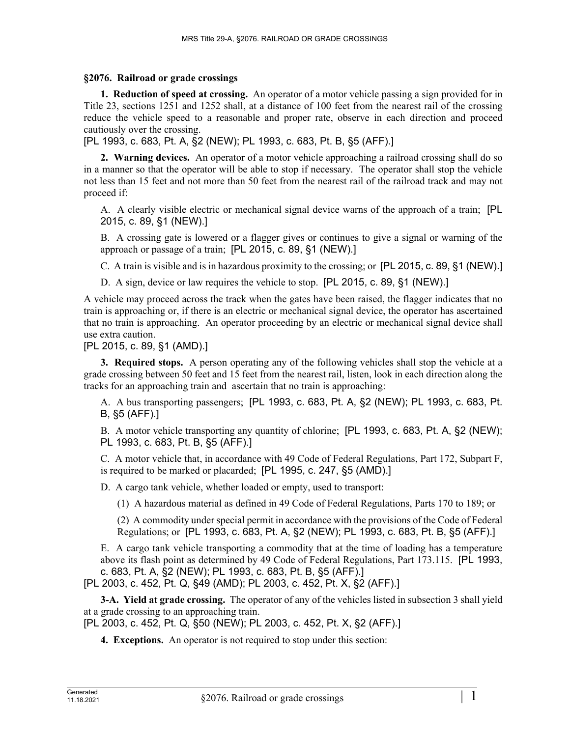## **§2076. Railroad or grade crossings**

**1. Reduction of speed at crossing.** An operator of a motor vehicle passing a sign provided for in Title 23, sections 1251 and 1252 shall, at a distance of 100 feet from the nearest rail of the crossing reduce the vehicle speed to a reasonable and proper rate, observe in each direction and proceed cautiously over the crossing.

[PL 1993, c. 683, Pt. A, §2 (NEW); PL 1993, c. 683, Pt. B, §5 (AFF).]

**2. Warning devices.** An operator of a motor vehicle approaching a railroad crossing shall do so in a manner so that the operator will be able to stop if necessary. The operator shall stop the vehicle not less than 15 feet and not more than 50 feet from the nearest rail of the railroad track and may not proceed if:

A. A clearly visible electric or mechanical signal device warns of the approach of a train; [PL 2015, c. 89, §1 (NEW).]

B. A crossing gate is lowered or a flagger gives or continues to give a signal or warning of the approach or passage of a train; [PL 2015, c. 89, §1 (NEW).]

C. A train is visible and is in hazardous proximity to the crossing; or [PL 2015, c. 89, §1 (NEW).]

D. A sign, device or law requires the vehicle to stop. [PL 2015, c. 89, §1 (NEW).]

A vehicle may proceed across the track when the gates have been raised, the flagger indicates that no train is approaching or, if there is an electric or mechanical signal device, the operator has ascertained that no train is approaching. An operator proceeding by an electric or mechanical signal device shall use extra caution.

[PL 2015, c. 89, §1 (AMD).]

**3. Required stops.** A person operating any of the following vehicles shall stop the vehicle at a grade crossing between 50 feet and 15 feet from the nearest rail, listen, look in each direction along the tracks for an approaching train and ascertain that no train is approaching:

A. A bus transporting passengers; [PL 1993, c. 683, Pt. A, §2 (NEW); PL 1993, c. 683, Pt. B, §5 (AFF).]

B. A motor vehicle transporting any quantity of chlorine; [PL 1993, c. 683, Pt. A, §2 (NEW); PL 1993, c. 683, Pt. B, §5 (AFF).]

C. A motor vehicle that, in accordance with 49 Code of Federal Regulations, Part 172, Subpart F, is required to be marked or placarded; [PL 1995, c. 247, §5 (AMD).]

D. A cargo tank vehicle, whether loaded or empty, used to transport:

(1) A hazardous material as defined in 49 Code of Federal Regulations, Parts 170 to 189; or

(2) A commodity under special permit in accordance with the provisions of the Code of Federal Regulations; or [PL 1993, c. 683, Pt. A, §2 (NEW); PL 1993, c. 683, Pt. B, §5 (AFF).]

E. A cargo tank vehicle transporting a commodity that at the time of loading has a temperature above its flash point as determined by 49 Code of Federal Regulations, Part 173.115. [PL 1993, c. 683, Pt. A, §2 (NEW); PL 1993, c. 683, Pt. B, §5 (AFF).]

[PL 2003, c. 452, Pt. Q, §49 (AMD); PL 2003, c. 452, Pt. X, §2 (AFF).]

**3-A. Yield at grade crossing.** The operator of any of the vehicles listed in subsection 3 shall yield at a grade crossing to an approaching train.

[PL 2003, c. 452, Pt. Q, §50 (NEW); PL 2003, c. 452, Pt. X, §2 (AFF).]

**4. Exceptions.** An operator is not required to stop under this section: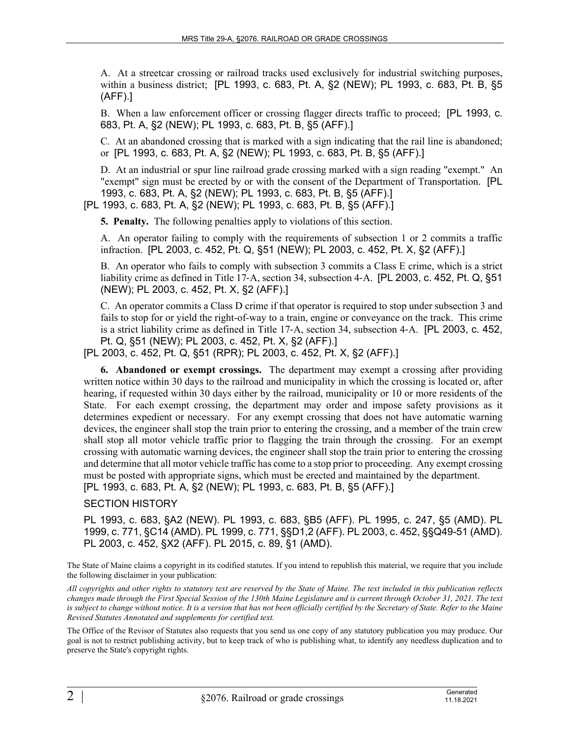A. At a streetcar crossing or railroad tracks used exclusively for industrial switching purposes, within a business district; [PL 1993, c. 683, Pt. A, §2 (NEW); PL 1993, c. 683, Pt. B, §5 (AFF).]

B. When a law enforcement officer or crossing flagger directs traffic to proceed; [PL 1993, c. 683, Pt. A, §2 (NEW); PL 1993, c. 683, Pt. B, §5 (AFF).]

C. At an abandoned crossing that is marked with a sign indicating that the rail line is abandoned; or [PL 1993, c. 683, Pt. A, §2 (NEW); PL 1993, c. 683, Pt. B, §5 (AFF).]

D. At an industrial or spur line railroad grade crossing marked with a sign reading "exempt." An "exempt" sign must be erected by or with the consent of the Department of Transportation. [PL 1993, c. 683, Pt. A, §2 (NEW); PL 1993, c. 683, Pt. B, §5 (AFF).]

[PL 1993, c. 683, Pt. A, §2 (NEW); PL 1993, c. 683, Pt. B, §5 (AFF).]

**5. Penalty.** The following penalties apply to violations of this section.

A. An operator failing to comply with the requirements of subsection 1 or 2 commits a traffic infraction. [PL 2003, c. 452, Pt. Q, §51 (NEW); PL 2003, c. 452, Pt. X, §2 (AFF).]

B. An operator who fails to comply with subsection 3 commits a Class E crime, which is a strict liability crime as defined in Title 17‑A, section 34, subsection 4‑A. [PL 2003, c. 452, Pt. Q, §51 (NEW); PL 2003, c. 452, Pt. X, §2 (AFF).]

C. An operator commits a Class D crime if that operator is required to stop under subsection 3 and fails to stop for or yield the right-of-way to a train, engine or conveyance on the track. This crime is a strict liability crime as defined in Title 17‑A, section 34, subsection 4‑A. [PL 2003, c. 452, Pt. Q, §51 (NEW); PL 2003, c. 452, Pt. X, §2 (AFF).]

[PL 2003, c. 452, Pt. Q, §51 (RPR); PL 2003, c. 452, Pt. X, §2 (AFF).]

**6. Abandoned or exempt crossings.** The department may exempt a crossing after providing written notice within 30 days to the railroad and municipality in which the crossing is located or, after hearing, if requested within 30 days either by the railroad, municipality or 10 or more residents of the State. For each exempt crossing, the department may order and impose safety provisions as it determines expedient or necessary. For any exempt crossing that does not have automatic warning devices, the engineer shall stop the train prior to entering the crossing, and a member of the train crew shall stop all motor vehicle traffic prior to flagging the train through the crossing. For an exempt crossing with automatic warning devices, the engineer shall stop the train prior to entering the crossing and determine that all motor vehicle traffic has come to a stop prior to proceeding. Any exempt crossing must be posted with appropriate signs, which must be erected and maintained by the department. [PL 1993, c. 683, Pt. A, §2 (NEW); PL 1993, c. 683, Pt. B, §5 (AFF).]

## SECTION HISTORY

PL 1993, c. 683, §A2 (NEW). PL 1993, c. 683, §B5 (AFF). PL 1995, c. 247, §5 (AMD). PL 1999, c. 771, §C14 (AMD). PL 1999, c. 771, §§D1,2 (AFF). PL 2003, c. 452, §§Q49-51 (AMD). PL 2003, c. 452, §X2 (AFF). PL 2015, c. 89, §1 (AMD).

The State of Maine claims a copyright in its codified statutes. If you intend to republish this material, we require that you include the following disclaimer in your publication:

*All copyrights and other rights to statutory text are reserved by the State of Maine. The text included in this publication reflects changes made through the First Special Session of the 130th Maine Legislature and is current through October 31, 2021. The text*  is subject to change without notice. It is a version that has not been officially certified by the Secretary of State. Refer to the Maine *Revised Statutes Annotated and supplements for certified text.*

The Office of the Revisor of Statutes also requests that you send us one copy of any statutory publication you may produce. Our goal is not to restrict publishing activity, but to keep track of who is publishing what, to identify any needless duplication and to preserve the State's copyright rights.